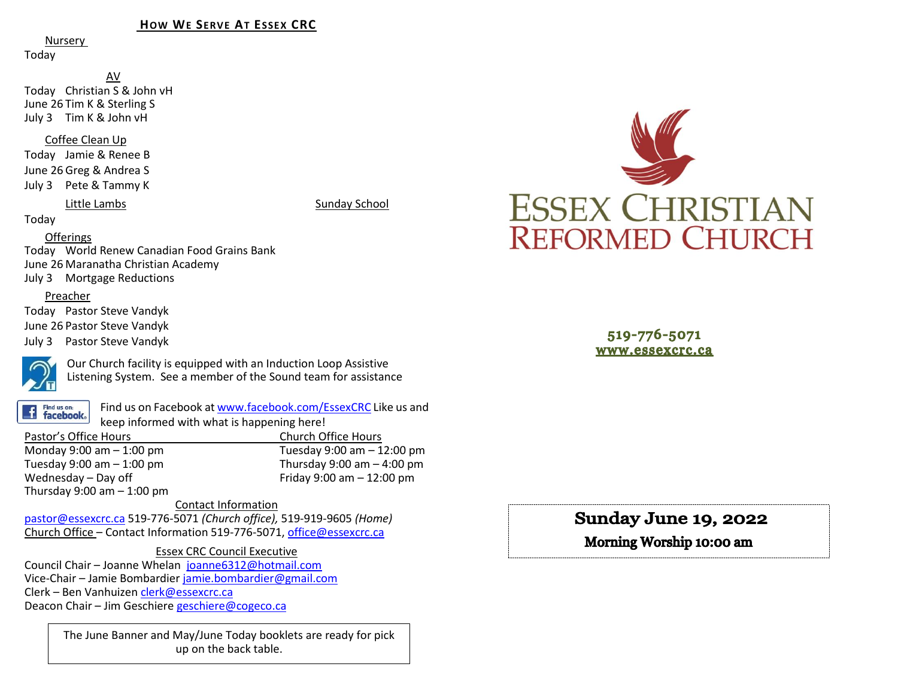### **HOW WE SERVE AT ESSEX CRC**

Nursery

Today

AV Today Christian S & John vH June 26 Tim K & Sterling S July 3 Tim K & John vH

Coffee Clean Up

Today Jamie & Renee B June 26 Greg & Andrea S July 3 Pete & Tammy K

Little Lambs Sunday School

Today

## **Offerings**

Today World Renew Canadian Food Grains Bank June 26 Maranatha Christian Academy July 3 Mortgage Reductions

### Preacher

Today Pastor Steve Vandyk June 26 Pastor Steve Vandyk July 3 Pastor Steve Vandyk



Our Church facility is equipped with an Induction Loop Assistive Listening System. See a member of the Sound team for assistance

Find us on: **facebook**.

Find us on Facebook a[t www.facebook.com/EssexCRC](http://www.facebook.com/EssexCRC) Like us and keep informed with what is happening here!

Pastor's Office Hours Church Office Hours Monday 9:00 am – 1:00 pm Tuesday 9:00 am – 12:00 pm Thursday 9:00 am  $-$  4:00 pm Wednesday – Day off  $V = 12:00 \text{ pm}$ Thursday  $9:00$  am  $-1:00$  pm

Contact Information

[pastor@essexcrc.ca](mailto:pastor@essexcrc.ca) 519-776-5071 *(Church office),* 519-919-9605 *(Home)* Church Office – Contact Information 519-776-5071[, office@essexcrc.ca](mailto:office@essexcrc.ca)

### Essex CRC Council Executive

Council Chair – Joanne Whelan [joanne6312@hotmail.com](mailto:joanne6312@hotmail.com) Vice-Chair – Jamie Bombardier [jamie.bombardier@gmail.com](mailto:jamie.bombardier@gmail.com) Clerk – Ben Vanhuizen [clerk@essexcrc.ca](mailto:clerk@essexcrc.ca) Deacon Chair – Jim Geschiere [geschiere@cogeco.ca](mailto:geschiere@cogeco.ca)

> The June Banner and May/June Today booklets are ready for pick up on the back table.



519-776-5071 www.essexcrc.ca

# Sunday June 19, 2022

Morning Worship 10:00 am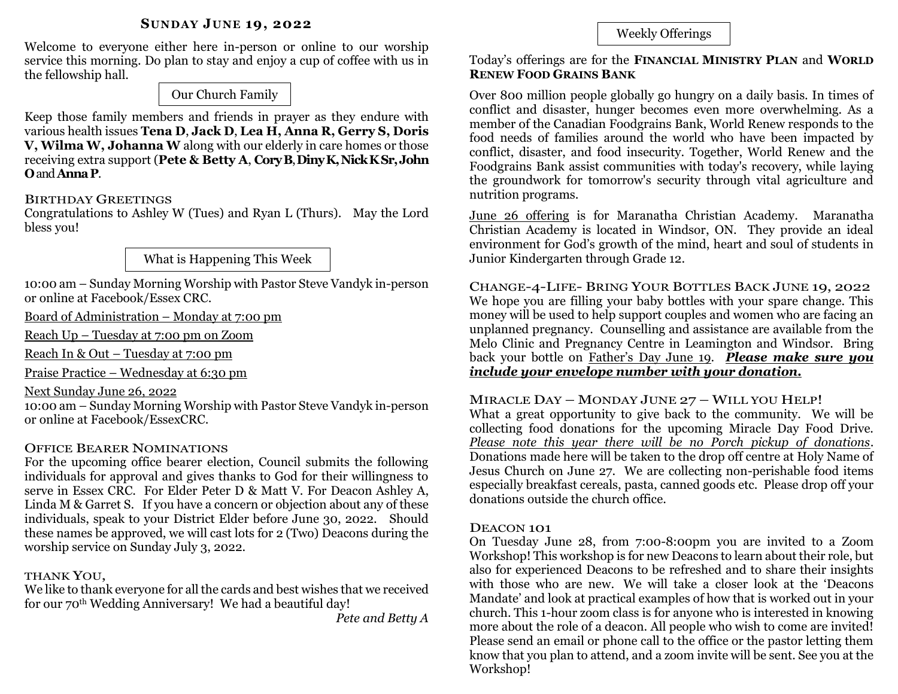Welcome to everyone either here in-person or online to our worship service this morning. Do plan to stay and enjoy a cup of coffee with us in the fellowship hall.

Our Church Family

Keep those family members and friends in prayer as they endure with various health issues **Tena D**, **Jack D**, **Lea H, Anna R, Gerry S, Doris V, Wilma W, Johanna W** along with our elderly in care homes or those receiving extra support (**Pete & Betty A**, **CoryB**, **DinyK, Nick KSr,John O**and **AnnaP**.

# BIRTHDAY GREETINGS

Congratulations to Ashley W (Tues) and Ryan L (Thurs). May the Lord bless you!

What is Happening This Week

10:00 am – Sunday Morning Worship with Pastor Steve Vandyk in-person or online at Facebook/Essex CRC.

Board of Administration – Monday at 7:00 pm

Reach Up – Tuesday at 7:00 pm on Zoom

Reach In & Out – Tuesday at 7:00 pm

Praise Practice – Wednesday at 6:30 pm

Next Sunday June 26, 2022

10:00 am – Sunday Morning Worship with Pastor Steve Vandyk in-person or online at Facebook/EssexCRC.

# OFFICE BEARER NOMINATIONS

For the upcoming office bearer election, Council submits the following individuals for approval and gives thanks to God for their willingness to serve in Essex CRC. For Elder Peter D & Matt V. For Deacon Ashley A, Linda M & Garret S. If you have a concern or objection about any of these individuals, speak to your District Elder before June 30, 2022. Should these names be approved, we will cast lots for 2 (Two) Deacons during the worship service on Sunday July 3, 2022.

## THANK YOU,

We like to thank everyone for all the cards and best wishes that we received for our 70th Wedding Anniversary! We had a beautiful day!

*Pete and Betty A*

# Weekly Offerings

Today's offerings are for the **FINANCIAL MINISTRY PLAN** and **WORLD RENEW FOOD GRAINS BANK** 

Over 800 million people globally go hungry on a daily basis. In times of conflict and disaster, hunger becomes even more overwhelming. As a member of the Canadian Foodgrains Bank, World Renew responds to the food needs of families around the world who have been impacted by conflict, disaster, and food insecurity. Together, World Renew and the Foodgrains Bank assist communities with today's recovery, while laying the groundwork for tomorrow's security through vital agriculture and nutrition programs.

June 26 offering is for Maranatha Christian Academy. Maranatha Christian Academy is located in Windsor, ON. They provide an ideal environment for God's growth of the mind, heart and soul of students in Junior Kindergarten through Grade 12.

CHANGE-4-LIFE- BRING YOUR BOTTLES BACK JUNE 19, 2022 We hope you are filling your baby bottles with your spare change. This money will be used to help support couples and women who are facing an unplanned pregnancy. Counselling and assistance are available from the Melo Clinic and Pregnancy Centre in Leamington and Windsor. Bring back your bottle on Father's Day June 19. *Please make sure you include your envelope number with your donation.*

MIRACLE DAY – MONDAY JUNE 27 – WILL YOU HELP!

What a great opportunity to give back to the community. We will be collecting food donations for the upcoming Miracle Day Food Drive. *Please note this year there will be no Porch pickup of donations*. Donations made here will be taken to the drop off centre at Holy Name of Jesus Church on June 27. We are collecting non-perishable food items especially breakfast cereals, pasta, canned goods etc. Please drop off your donations outside the church office.

# DEACON 101

On Tuesday June 28, from 7:00-8:00pm you are invited to a Zoom Workshop! This workshop is for new Deacons to learn about their role, but also for experienced Deacons to be refreshed and to share their insights with those who are new. We will take a closer look at the 'Deacons Mandate' and look at practical examples of how that is worked out in your church. This 1-hour zoom class is for anyone who is interested in knowing more about the role of a deacon. All people who wish to come are invited! Please send an email or phone call to the office or the pastor letting them know that you plan to attend, and a zoom invite will be sent. See you at the Workshop!